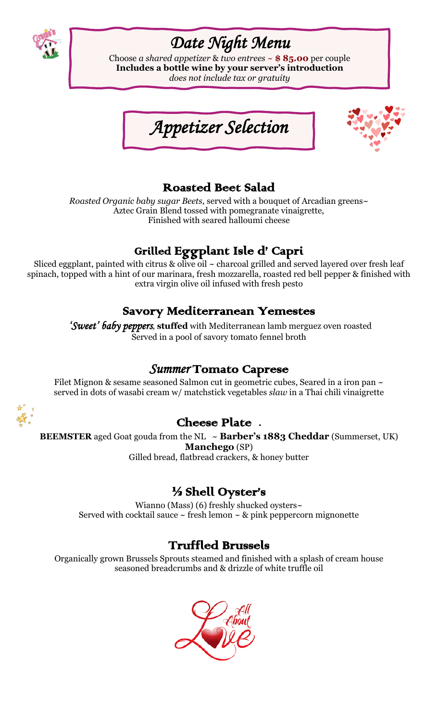

# *Date Night Menu*

Choose *a shared appetizer* & *two entrees* ~ **\$ 85.00** per couple **Includes a bottle wine by your server's introduction** *does not include tax or gratuity*





### Roasted Beet Salad

*Roasted Organic baby sugar Beets*, served with a bouquet of Arcadian greens~ Aztec Grain Blend tossed with pomegranate vinaigrette, Finished with seared halloumi cheese

## Grilled Eggplant Isle d' Capri

Sliced eggplant, painted with citrus & olive oil  $\sim$  charcoal grilled and served layered over fresh leaf spinach, topped with a hint of our marinara, fresh mozzarella, roasted red bell pepper & finished with extra virgin olive oil infused with fresh pesto

#### Savory Mediterranean Yemestes

 *'Sweet' baby peppers*, **stuffed** with Mediterranean lamb merguez oven roasted Served in a pool of savory tomato fennel broth

#### *Summer* Tomato Caprese

Filet Mignon & sesame seasoned Salmon cut in geometric cubes, Seared in a iron pan  $\sim$ served in dots of wasabi cream w/ matchstick vegetables *slaw* in a Thai chili vinaigrette



#### Cheese Plate **.**

**BEEMSTER** aged Goat gouda from the NL ~ **Barber's 1883 Cheddar** (Summerset, UK) **Manchego** (SP) Gilled bread, flatbread crackers, & honey butter

### ½ Shell Oyster's

Wianno (Mass) (6) freshly shucked oysters~ Served with cocktail sauce  $\sim$  fresh lemon  $\sim$  & pink peppercorn mignonette

#### Truffled Brussels

Organically grown Brussels Sprouts steamed and finished with a splash of cream house seasoned breadcrumbs and & drizzle of white truffle oil

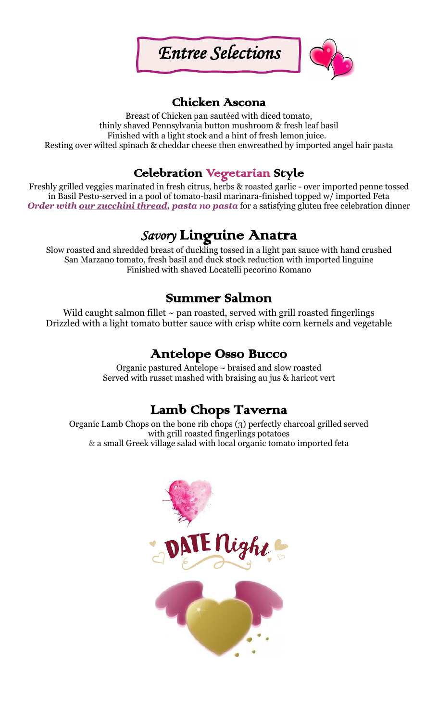



#### Chicken Ascona

Breast of Chicken pan sautéed with diced tomato, thinly shaved Pennsylvania button mushroom & fresh leaf basil Finished with a light stock and a hint of fresh lemon juice. Resting over wilted spinach & cheddar cheese then enwreathed by imported angel hair pasta

## Celebration Vegetarian Style

Freshly grilled veggies marinated in fresh citrus, herbs & roasted garlic - over imported penne tossed in Basil Pesto-served in a pool of tomato-basil marinara-finished topped w/ imported Feta *Order with our zucchini thread, pasta no pasta* for a satisfying gluten free celebration dinner

## *Savory* Linguine Anatra

Slow roasted and shredded breast of duckling tossed in a light pan sauce with hand crushed San Marzano tomato, fresh basil and duck stock reduction with imported linguine Finished with shaved Locatelli pecorino Romano

### Summer Salmon

Wild caught salmon fillet  $\sim$  pan roasted, served with grill roasted fingerlings Drizzled with a light tomato butter sauce with crisp white corn kernels and vegetable

### Antelope Osso Bucco

Organic pastured Antelope ~ braised and slow roasted Served with russet mashed with braising au jus & haricot vert

### Lamb Chops Taverna

Organic Lamb Chops on the bone rib chops (3) perfectly charcoal grilled served with grill roasted fingerlings potatoes & a small Greek village salad with local organic tomato imported feta